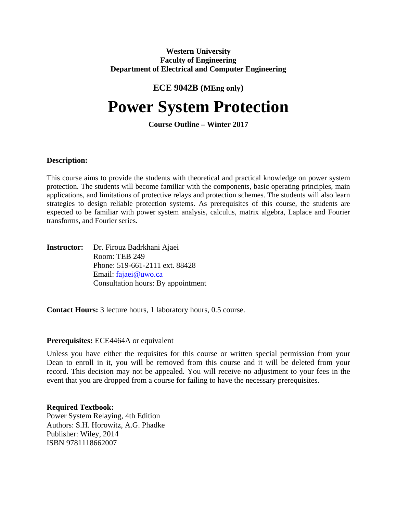#### **Western University Faculty of Engineering Department of Electrical and Computer Engineering**

## **ECE 9042B (MEng only)**

# **Power System Protection**

### **Course Outline – Winter 2017**

#### **Description:**

This course aims to provide the students with theoretical and practical knowledge on power system protection. The students will become familiar with the components, basic operating principles, main applications, and limitations of protective relays and protection schemes. The students will also learn strategies to design reliable protection systems. As prerequisites of this course, the students are expected to be familiar with power system analysis, calculus, matrix algebra, Laplace and Fourier transforms, and Fourier series.

**Instructor:** Dr. Firouz Badrkhani Ajaei Room: TEB 249 Phone: 519-661-2111 ext. 88428 Email: fajaei@uwo.ca Consultation hours: By appointment

**Contact Hours:** 3 lecture hours, 1 laboratory hours, 0.5 course.

#### **Prerequisites:** ECE4464A or equivalent

Unless you have either the requisites for this course or written special permission from your Dean to enroll in it, you will be removed from this course and it will be deleted from your record. This decision may not be appealed. You will receive no adjustment to your fees in the event that you are dropped from a course for failing to have the necessary prerequisites.

#### **Required Textbook:**

Power System Relaying, 4th Edition Authors: S.H. Horowitz, A.G. Phadke Publisher: Wiley, 2014 ISBN 9781118662007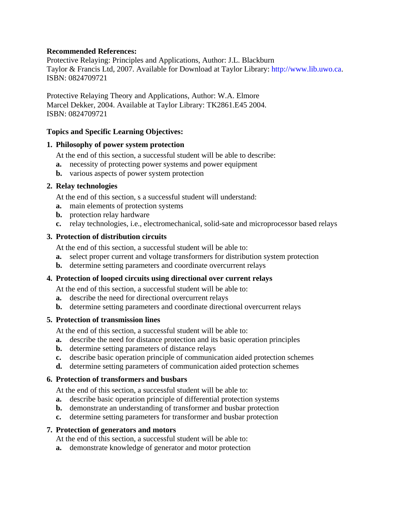#### **Recommended References:**

Protective Relaying: Principles and Applications, Author: J.L. Blackburn Taylor & Francis Ltd, 2007. Available for Download at Taylor Library: http://www.lib.uwo.ca. ISBN: 0824709721

Protective Relaying Theory and Applications, Author: W.A. Elmore Marcel Dekker, 2004. Available at Taylor Library: TK2861.E45 2004. ISBN: 0824709721

#### **Topics and Specific Learning Objectives:**

#### **1. Philosophy of power system protection**

At the end of this section, a successful student will be able to describe:

- **a.** necessity of protecting power systems and power equipment
- **b.** various aspects of power system protection

#### **2. Relay technologies**

At the end of this section, s a successful student will understand:

- **a.** main elements of protection systems
- **b.** protection relay hardware
- **c.** relay technologies, i.e., electromechanical, solid-sate and microprocessor based relays

#### **3. Protection of distribution circuits**

At the end of this section, a successful student will be able to:

- **a.** select proper current and voltage transformers for distribution system protection
- **b.** determine setting parameters and coordinate overcurrent relays

#### **4. Protection of looped circuits using directional over current relays**

At the end of this section, a successful student will be able to:

- **a.** describe the need for directional overcurrent relays
- **b.** determine setting parameters and coordinate directional overcurrent relays

#### **5. Protection of transmission lines**

At the end of this section, a successful student will be able to:

- **a.** describe the need for distance protection and its basic operation principles
- **b.** determine setting parameters of distance relays
- **c.** describe basic operation principle of communication aided protection schemes
- **d.** determine setting parameters of communication aided protection schemes

#### **6. Protection of transformers and busbars**

At the end of this section, a successful student will be able to:

- **a.** describe basic operation principle of differential protection systems
- **b.** demonstrate an understanding of transformer and busbar protection
- **c.** determine setting parameters for transformer and busbar protection

#### **7. Protection of generators and motors**

At the end of this section, a successful student will be able to:

**a.** demonstrate knowledge of generator and motor protection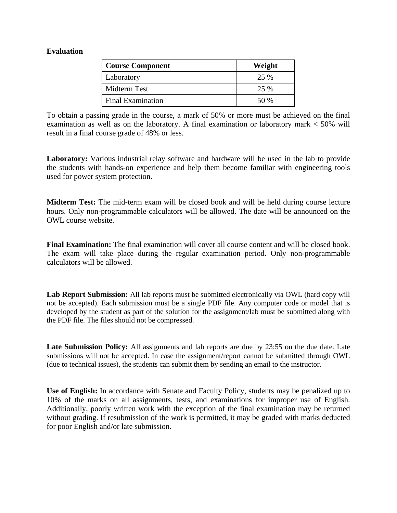#### **Evaluation**

| <b>Course Component</b>  | Weight |
|--------------------------|--------|
| Laboratory               | 25 %   |
| Midterm Test             | 25 %   |
| <b>Final Examination</b> | 50 %   |

To obtain a passing grade in the course, a mark of 50% or more must be achieved on the final examination as well as on the laboratory. A final examination or laboratory mark < 50% will result in a final course grade of 48% or less.

**Laboratory:** Various industrial relay software and hardware will be used in the lab to provide the students with hands-on experience and help them become familiar with engineering tools used for power system protection.

**Midterm Test:** The mid-term exam will be closed book and will be held during course lecture hours. Only non-programmable calculators will be allowed. The date will be announced on the OWL course website.

**Final Examination:** The final examination will cover all course content and will be closed book. The exam will take place during the regular examination period. Only non-programmable calculators will be allowed.

**Lab Report Submission:** All lab reports must be submitted electronically via OWL (hard copy will not be accepted). Each submission must be a single PDF file. Any computer code or model that is developed by the student as part of the solution for the assignment/lab must be submitted along with the PDF file. The files should not be compressed.

**Late Submission Policy:** All assignments and lab reports are due by 23:55 on the due date. Late submissions will not be accepted. In case the assignment/report cannot be submitted through OWL (due to technical issues), the students can submit them by sending an email to the instructor.

**Use of English:** In accordance with Senate and Faculty Policy, students may be penalized up to 10% of the marks on all assignments, tests, and examinations for improper use of English. Additionally, poorly written work with the exception of the final examination may be returned without grading. If resubmission of the work is permitted, it may be graded with marks deducted for poor English and/or late submission.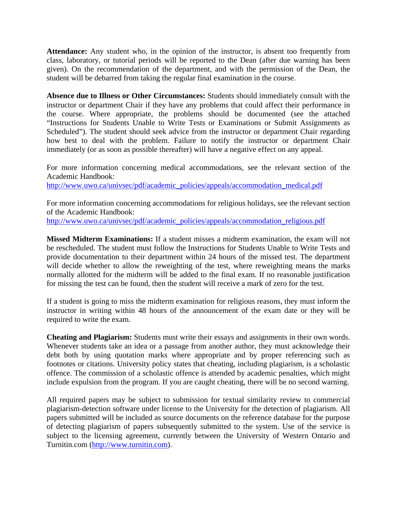**Attendance:** Any student who, in the opinion of the instructor, is absent too frequently from class, laboratory, or tutorial periods will be reported to the Dean (after due warning has been given). On the recommendation of the department, and with the permission of the Dean, the student will be debarred from taking the regular final examination in the course.

**Absence due to Illness or Other Circumstances:** Students should immediately consult with the instructor or department Chair if they have any problems that could affect their performance in the course. Where appropriate, the problems should be documented (see the attached "Instructions for Students Unable to Write Tests or Examinations or Submit Assignments as Scheduled"). The student should seek advice from the instructor or department Chair regarding how best to deal with the problem. Failure to notify the instructor or department Chair immediately (or as soon as possible thereafter) will have a negative effect on any appeal.

For more information concerning medical accommodations, see the relevant section of the Academic Handbook:

http://www.uwo.ca/univsec/pdf/academic\_policies/appeals/accommodation\_medical.pdf

For more information concerning accommodations for religious holidays, see the relevant section of the Academic Handbook: http://www.uwo.ca/univsec/pdf/academic\_policies/appeals/accommodation\_religious.pdf

**Missed Midterm Examinations:** If a student misses a midterm examination, the exam will not be rescheduled. The student must follow the Instructions for Students Unable to Write Tests and provide documentation to their department within 24 hours of the missed test. The department will decide whether to allow the reweighting of the test, where reweighting means the marks normally allotted for the midterm will be added to the final exam. If no reasonable justification for missing the test can be found, then the student will receive a mark of zero for the test.

If a student is going to miss the midterm examination for religious reasons, they must inform the instructor in writing within 48 hours of the announcement of the exam date or they will be required to write the exam.

**Cheating and Plagiarism:** Students must write their essays and assignments in their own words. Whenever students take an idea or a passage from another author, they must acknowledge their debt both by using quotation marks where appropriate and by proper referencing such as footnotes or citations. University policy states that cheating, including plagiarism, is a scholastic offence. The commission of a scholastic offence is attended by academic penalties, which might include expulsion from the program. If you are caught cheating, there will be no second warning.

All required papers may be subject to submission for textual similarity review to commercial plagiarism-detection software under license to the University for the detection of plagiarism. All papers submitted will be included as source documents on the reference database for the purpose of detecting plagiarism of papers subsequently submitted to the system. Use of the service is subject to the licensing agreement, currently between the University of Western Ontario and Turnitin.com (http://www.turnitin.com).